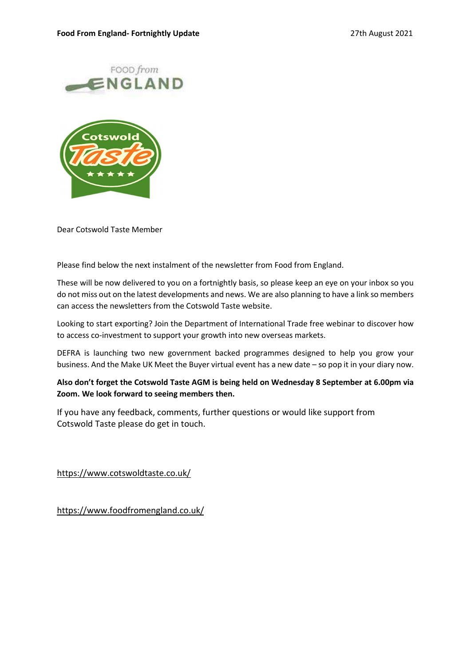



Dear Cotswold Taste Member

Please find below the next instalment of the newsletter from Food from England.

These will be now delivered to you on a fortnightly basis, so please keep an eye on your inbox so you do not miss out on the latest developments and news. We are also planning to have a link so members can access the newsletters from the Cotswold Taste website.

Looking to start exporting? Join the Department of International Trade free webinar to discover how to access co-investment to support your growth into new overseas markets.

DEFRA is launching two new government backed programmes designed to help you grow your business. And the Make UK Meet the Buyer virtual event has a new date – so pop it in your diary now.

Also don't forget the Cotswold Taste AGM is being held on Wednesday 8 September at 6.00pm via Zoom. We look forward to seeing members then.

If you have any feedback, comments, further questions or would like support from Cotswold Taste please do get in touch.

https://www.cotswoldtaste.co.uk/

https://www.foodfromengland.co.uk/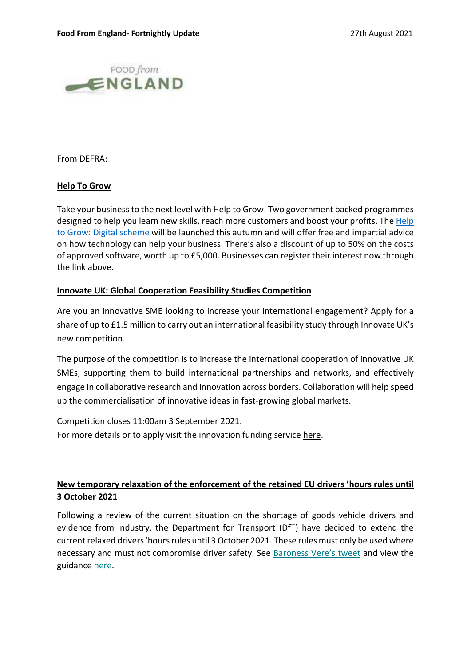

From DEFRA:

### Help To Grow

Take your business to the next level with Help to Grow. Two government backed programmes designed to help you learn new skills, reach more customers and boost your profits. The Help to Grow: Digital scheme will be launched this autumn and will offer free and impartial advice on how technology can help your business. There's also a discount of up to 50% on the costs of approved software, worth up to £5,000. Businesses can register their interest now through the link above.

### Innovate UK: Global Cooperation Feasibility Studies Competition

Are you an innovative SME looking to increase your international engagement? Apply for a share of up to £1.5 million to carry out an international feasibility study through Innovate UK's new competition.

The purpose of the competition is to increase the international cooperation of innovative UK SMEs, supporting them to build international partnerships and networks, and effectively engage in collaborative research and innovation across borders. Collaboration will help speed up the commercialisation of innovative ideas in fast-growing global markets.

Competition closes 11:00am 3 September 2021. For more details or to apply visit the innovation funding service here.

## New temporary relaxation of the enforcement of the retained EU drivers 'hours rules until 3 October 2021

Following a review of the current situation on the shortage of goods vehicle drivers and evidence from industry, the Department for Transport (DfT) have decided to extend the current relaxed drivers 'hours rules until 3 October 2021. These rules must only be used where necessary and must not compromise driver safety. See Baroness Vere's tweet and view the guidance here.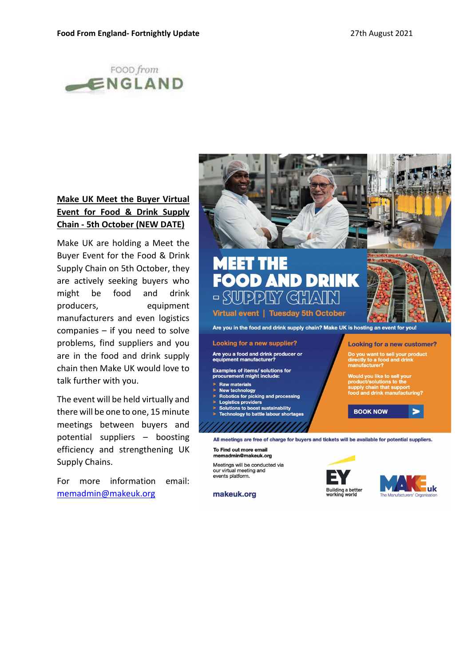

# Make UK Meet the Buyer Virtual Event for Food & Drink Supply Chain - 5th October (NEW DATE)

Make UK are holding a Meet the Buyer Event for the Food & Drink<br>Supply Chain on Eth October, they Supply Chain on 5th October, they are actively seeking buyers who  $\begin{bmatrix} 1 & 1 \\ 1 & 0 \end{bmatrix}$ might be food and drink manufacturers and even logistics<br>
companies — if you need to solve and the food and drink supply chain? Make UK is hosting an event for you! companies – if you need to solve problems, find suppliers and you **Looking for a new supplier?**<br>are in the food and drink supply **Are you a food and drink** producer or are in the food and drink supply chain then Make UK would love to<br>measurement might include: talk further with you.

The event will be held virtually and<br>  $\frac{1}{2}$  Robotics for picking and processing<br>  $\frac{1}{2}$  Solutions to boost sustainability there will be one to one, 15 minute meetings between buyers and efficiency and strengthening UK To Find out more email<br>memadmin@makeuk.org Supply Chains.

For more information email: events platform. memadmin@makeuk.org



- **Raw materials**
- **New technology**
- 
- 
- 

potential suppliers - boosting all meetings are free of charge for buyers and tickets will be available for potential suppliers.

Meetings will be conducted via our virtual meeting and

makeuk.org

![](_page_2_Picture_21.jpeg)

![](_page_2_Picture_22.jpeg)

 $\blacktriangleright$ 

**Looking for a new customer?** 

Do you want to sell your product<br>directly to a food and drink<br>manufacturer?

Would you like to sell your<br>product/solutions to the<br>supply chain that support<br>food and drink manufacturing?

**BOOK NOW**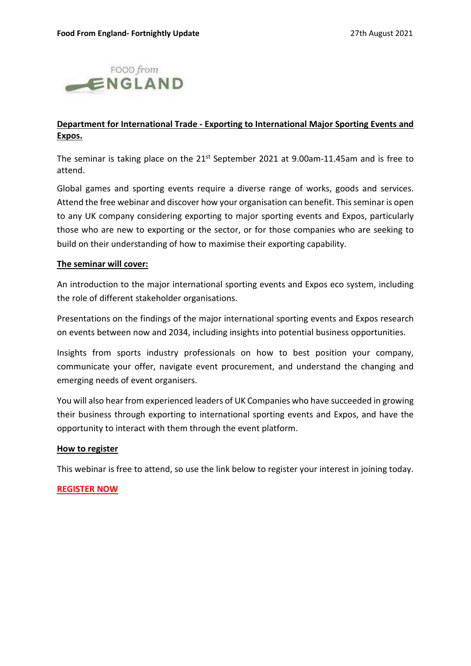![](_page_3_Picture_2.jpeg)

### Department for International Trade - Exporting to International Major Sporting Events and Expos.

The seminar is taking place on the  $21^{st}$  September 2021 at 9.00am-11.45am and is free to attend.

Global games and sporting events require a diverse range of works, goods and services. Attend the free webinar and discover how your organisation can benefit. This seminar is open to any UK company considering exporting to major sporting events and Expos, particularly those who are new to exporting or the sector, or for those companies who are seeking to build on their understanding of how to maximise their exporting capability.

### The seminar will cover:

An introduction to the major international sporting events and Expos eco system, including the role of different stakeholder organisations.

Presentations on the findings of the major international sporting events and Expos research on events between now and 2034, including insights into potential business opportunities.

Insights from sports industry professionals on how to best position your company, communicate your offer, navigate event procurement, and understand the changing and emerging needs of event organisers.

You will also hear from experienced leaders of UK Companies who have succeeded in growing their business through exporting to international sporting events and Expos, and have the opportunity to interact with them through the event platform.

### How to register

This webinar is free to attend, so use the link below to register your interest in joining today.

### REGISTER NOW